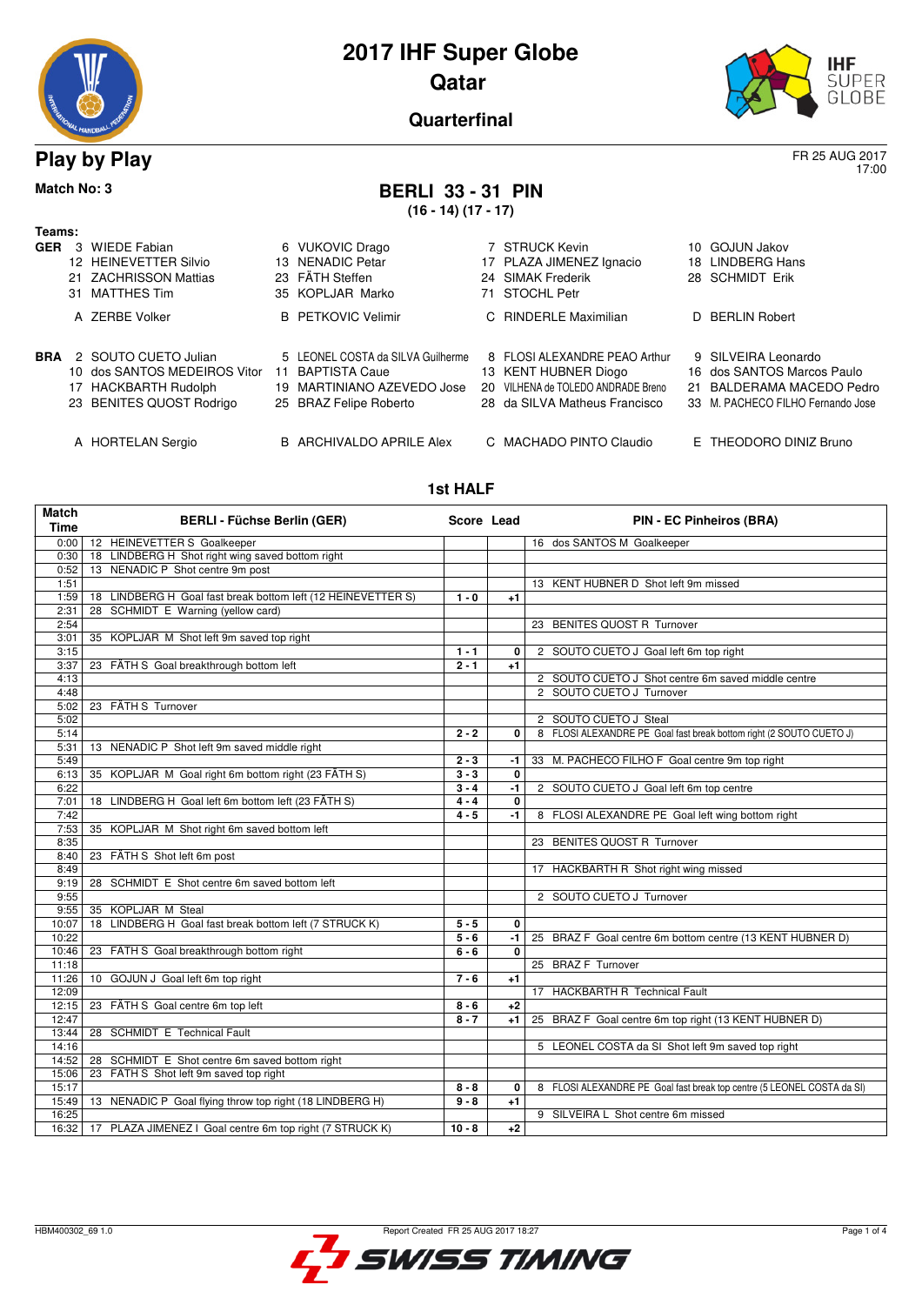



17:00

**Quarterfinal**

### **Play by Play** FR 25 AUG 2017

## **Match No: 3 BERLI 33 - 31 PIN**

**(16 - 14) (17 - 17)**

| Teams:     |   |                              |    |                                   |    |                                    |     |                                   |
|------------|---|------------------------------|----|-----------------------------------|----|------------------------------------|-----|-----------------------------------|
| <b>GER</b> | 3 | WIEDE Fabian                 |    | 6 VUKOVIC Drago                   |    | 7 STRUCK Kevin                     | 10. | <b>GOJUN Jakov</b>                |
|            |   | 12 HEINEVETTER Silvio        |    | 13 NENADIC Petar                  |    | 17 PLAZA JIMENEZ Ignacio           | 18  | LINDBERG Hans                     |
|            |   | 21 ZACHRISSON Mattias        |    | 23 FÄTH Steffen                   |    | 24 SIMAK Frederik                  |     | 28 SCHMIDT Erik                   |
|            |   | 31 MATTHES Tim               |    | 35 KOPLJAR Marko                  | 71 | STOCHL Petr                        |     |                                   |
|            |   | A ZERBE Volker               |    | <b>B</b> PETKOVIC Velimir         |    | C RINDERLE Maximilian              |     | D BERLIN Robert                   |
| BRA        |   | 2 SOUTO CUETO Julian         |    | 5 LEONEL COSTA da SILVA Guilherme |    | 8 FLOSI ALEXANDRE PEAO Arthur      |     | 9 SILVEIRA Leonardo               |
|            |   | 10 dos SANTOS MEDEIROS Vitor | 11 | <b>BAPTISTA Caue</b>              |    | 13 KENT HUBNER Diogo               |     | 16 dos SANTOS Marcos Paulo        |
|            |   | 17 HACKBARTH Rudolph         |    | 19 MARTINIANO AZEVEDO Jose        |    | 20 VILHENA de TOLEDO ANDRADE Breno |     | 21 BALDERAMA MACEDO Pedro         |
|            |   | 23 BENITES QUOST Rodrigo     |    | 25 BRAZ Felipe Roberto            |    | 28 da SILVA Matheus Francisco      |     | 33 M. PACHECO FILHO Fernando Jose |
|            |   | A HORTELAN Sergio            |    | B ARCHIVALDO APRILE Alex          |    | C MACHADO PINTO Claudio            |     | E THEODORO DINIZ Bruno            |

#### **1st HALF**

| <b>Match</b><br><b>Time</b> | <b>BERLI - Füchse Berlin (GER)</b>                               | Score Lead |              | <b>PIN - EC Pinheiros (BRA)</b>                                        |
|-----------------------------|------------------------------------------------------------------|------------|--------------|------------------------------------------------------------------------|
| 0:00                        | 12 HEINEVETTER S Goalkeeper                                      |            |              | 16 dos SANTOS M Goalkeeper                                             |
| 0:30                        | 18 LINDBERG H Shot right wing saved bottom right                 |            |              |                                                                        |
| 0:52                        | 13 NENADIC P Shot centre 9m post                                 |            |              |                                                                        |
| 1:51                        |                                                                  |            |              | 13 KENT HUBNER D Shot left 9m missed                                   |
| 1:59                        | 18 LINDBERG H Goal fast break bottom left (12 HEINEVETTER S)     | $1 - 0$    | $+1$         |                                                                        |
| 2:31                        | 28 SCHMIDT E Warning (yellow card)                               |            |              |                                                                        |
| 2:54                        |                                                                  |            |              | 23 BENITES QUOST R Turnover                                            |
| 3:01                        | 35 KOPLJAR M Shot left 9m saved top right                        |            |              |                                                                        |
| 3:15                        |                                                                  | $1 - 1$    | 0            | 2 SOUTO CUETO J Goal left 6m top right                                 |
| 3:37                        | 23 FÄTH S Goal breakthrough bottom left                          | $2 - 1$    | $+1$         |                                                                        |
| 4:13                        |                                                                  |            |              | 2 SOUTO CUETO J Shot centre 6m saved middle centre                     |
| 4:48                        |                                                                  |            |              | 2 SOUTO CUETO J Turnover                                               |
| 5:02                        | 23 FÄTH S Turnover                                               |            |              |                                                                        |
| 5:02                        |                                                                  |            |              | 2 SOUTO CUETO J Steal                                                  |
| 5:14                        |                                                                  | $2 - 2$    | 0            | 8 FLOSI ALEXANDRE PE Goal fast break bottom right (2 SOUTO CUETO J)    |
| 5:31                        | 13 NENADIC P Shot left 9m saved middle right                     |            |              |                                                                        |
| 5:49                        |                                                                  | $2 - 3$    | -1           | 33 M. PACHECO FILHO F Goal centre 9m top right                         |
| 6:13                        | 35 KOPLJAR M Goal right 6m bottom right (23 FÄTH S)              | $3 - 3$    | $\mathbf{0}$ |                                                                        |
| 6:22                        |                                                                  | $3 - 4$    | $-1$         | 2 SOUTO CUETO J Goal left 6m top centre                                |
| 7:01                        | 18 LINDBERG H Goal left 6m bottom left (23 FÄTH S)               | $4 - 4$    | $\mathbf 0$  |                                                                        |
| 7:42                        |                                                                  | $4 - 5$    | $-1$         | 8 FLOSI ALEXANDRE PE Goal left wing bottom right                       |
| 7:53                        | 35 KOPLJAR M Shot right 6m saved bottom left                     |            |              |                                                                        |
| 8:35                        |                                                                  |            |              | 23 BENITES QUOST R Turnover                                            |
| 8:40                        | 23 FÄTH S Shot left 6m post                                      |            |              |                                                                        |
| 8:49                        |                                                                  |            |              | 17 HACKBARTH R Shot right wing missed                                  |
| 9:19                        | 28 SCHMIDT E Shot centre 6m saved bottom left                    |            |              |                                                                        |
| 9:55                        |                                                                  |            |              | 2 SOUTO CUETO J Turnover                                               |
| 9:55                        | 35 KOPLJAR M Steal                                               |            |              |                                                                        |
| 10:07                       | 18 LINDBERG H Goal fast break bottom left (7 STRUCK K)           | $5 - 5$    | 0            |                                                                        |
| 10:22                       |                                                                  | $5 - 6$    | $-1$         | 25 BRAZ F Goal centre 6m bottom centre (13 KENT HUBNER D)              |
| 10:46                       | 23 FÄTH S Goal breakthrough bottom right                         | $6 - 6$    | 0            |                                                                        |
| 11:18                       |                                                                  |            |              | 25 BRAZ F Turnover                                                     |
| 11:26                       | 10 GOJUN J Goal left 6m top right                                | $7 - 6$    | $+1$         |                                                                        |
| 12:09                       |                                                                  |            |              | 17 HACKBARTH R Technical Fault                                         |
| 12:15                       | 23 FÄTH S Goal centre 6m top left                                | $8 - 6$    | $+2$         |                                                                        |
| 12:47                       |                                                                  | $8 - 7$    | $+1$         | 25 BRAZ F Goal centre 6m top right (13 KENT HUBNER D)                  |
| 13:44                       | 28 SCHMIDT E Technical Fault                                     |            |              |                                                                        |
| 14:16                       |                                                                  |            |              | 5 LEONEL COSTA da SI Shot left 9m saved top right                      |
| 14:52                       | 28 SCHMIDT E Shot centre 6m saved bottom right                   |            |              |                                                                        |
| 15:06                       | 23 FÄTH S Shot left 9m saved top right                           |            |              |                                                                        |
| 15:17                       |                                                                  | $8 - 8$    | 0            | 8 FLOSI ALEXANDRE PE Goal fast break top centre (5 LEONEL COSTA da SI) |
| 15:49                       | 13 NENADIC P Goal flying throw top right (18 LINDBERG H)         | $9 - 8$    | $+1$         |                                                                        |
| 16:25                       |                                                                  |            |              | 9 SILVEIRA L Shot centre 6m missed                                     |
|                             | 16:32   17 PLAZA JIMENEZ I Goal centre 6m top right (7 STRUCK K) | $10 - 8$   | $+2$         |                                                                        |

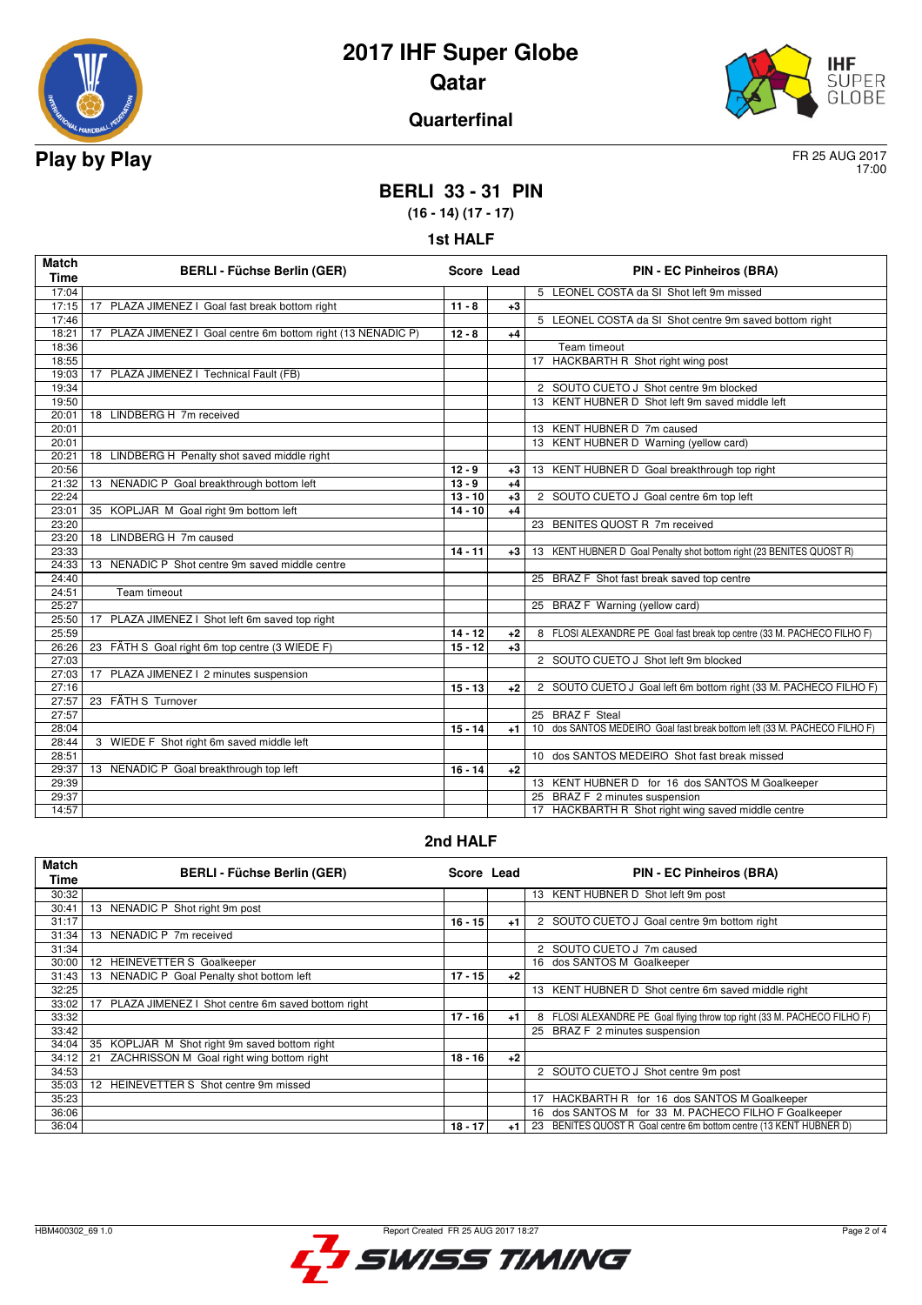



#### **Quarterfinal**

17:00

### **BERLI 33 - 31 PIN**

**(16 - 14) (17 - 17) 1st HALF**

| <b>Match</b><br><b>Time</b> | <b>BERLI - Füchse Berlin (GER)</b>                               | Score Lead |      | <b>PIN - EC Pinheiros (BRA)</b>                                                      |
|-----------------------------|------------------------------------------------------------------|------------|------|--------------------------------------------------------------------------------------|
| 17:04                       |                                                                  |            |      | 5 LEONEL COSTA da SI Shot left 9m missed                                             |
| 17:15                       | 17 PLAZA JIMENEZ I Goal fast break bottom right                  | $11 - 8$   | $+3$ |                                                                                      |
| 17:46                       |                                                                  |            |      | 5 LEONEL COSTA da SI Shot centre 9m saved bottom right                               |
| 18:21                       | PLAZA JIMENEZ I Goal centre 6m bottom right (13 NENADIC P)<br>17 | $12 - 8$   | $+4$ |                                                                                      |
| 18:36                       |                                                                  |            |      | Team timeout                                                                         |
| 18:55                       |                                                                  |            |      | 17 HACKBARTH R Shot right wing post                                                  |
| 19:03                       | PLAZA JIMENEZ I Technical Fault (FB)<br>17 <sup>2</sup>          |            |      |                                                                                      |
| 19:34                       |                                                                  |            |      | 2 SOUTO CUETO J Shot centre 9m blocked                                               |
| 19:50                       |                                                                  |            |      | 13 KENT HUBNER D Shot left 9m saved middle left                                      |
| 20:01                       | 18 LINDBERG H 7m received                                        |            |      |                                                                                      |
| 20:01                       |                                                                  |            |      | 13 KENT HUBNER D 7m caused                                                           |
| 20:01                       |                                                                  |            |      | 13 KENT HUBNER D Warning (yellow card)                                               |
| 20:21                       | 18 LINDBERG H Penalty shot saved middle right                    |            |      |                                                                                      |
| 20:56                       |                                                                  | $12 - 9$   | $+3$ | 13 KENT HUBNER D Goal breakthrough top right                                         |
| 21:32                       | 13 NENADIC P Goal breakthrough bottom left                       | $13 - 9$   | $+4$ |                                                                                      |
| 22:24                       |                                                                  | $13 - 10$  | $+3$ | 2 SOUTO CUETO J Goal centre 6m top left                                              |
| 23:01                       | 35 KOPLJAR M Goal right 9m bottom left                           | $14 - 10$  | $+4$ |                                                                                      |
| 23:20                       |                                                                  |            |      | 23 BENITES QUOST R 7m received                                                       |
| 23:20                       | 18 LINDBERG H 7m caused                                          |            |      |                                                                                      |
| 23:33                       |                                                                  | $14 - 11$  | $+3$ | 13 KENT HUBNER D Goal Penalty shot bottom right (23 BENITES QUOST R)                 |
| 24:33                       | 13 NENADIC P Shot centre 9m saved middle centre                  |            |      |                                                                                      |
| 24:40                       |                                                                  |            |      | 25 BRAZ F Shot fast break saved top centre                                           |
| 24:51                       | <b>Team timeout</b>                                              |            |      |                                                                                      |
| 25:27                       |                                                                  |            |      | 25 BRAZ F Warning (yellow card)                                                      |
| 25:50                       | PLAZA JIMENEZ I Shot left 6m saved top right<br>17               |            |      |                                                                                      |
| 25:59                       |                                                                  | $14 - 12$  | $+2$ | 8 FLOSI ALEXANDRE PE Goal fast break top centre (33 M. PACHECO FILHO F)              |
| 26:26                       | 23 FÄTH S Goal right 6m top centre (3 WIEDE F)                   | $15 - 12$  | $+3$ |                                                                                      |
| 27:03                       |                                                                  |            |      | 2 SOUTO CUETO J Shot left 9m blocked                                                 |
| 27:03                       | PLAZA JIMENEZ   2 minutes suspension<br>17                       | $15 - 13$  |      |                                                                                      |
| 27:16                       |                                                                  |            | $+2$ | 2 SOUTO CUETO J Goal left 6m bottom right (33 M. PACHECO FILHO F)                    |
| 27:57<br>27:57              | 23 FÄTH S Turnover                                               |            |      | 25 BRAZ F Steal                                                                      |
|                             |                                                                  |            |      |                                                                                      |
| 28:04                       |                                                                  | $15 - 14$  | $+1$ | 10 dos SANTOS MEDEIRO Goal fast break bottom left (33 M. PACHECO FILHO F)            |
| 28:44<br>28:51              | 3 WIEDE F Shot right 6m saved middle left                        |            |      | 10 dos SANTOS MEDEIRO Shot fast break missed                                         |
|                             |                                                                  | $16 - 14$  |      |                                                                                      |
| 29:37<br>29:39              | 13 NENADIC P Goal breakthrough top left                          |            | $+2$ | 13 KENT HUBNER D for 16 dos SANTOS M Goalkeeper                                      |
| 29:37                       |                                                                  |            |      |                                                                                      |
| 14:57                       |                                                                  |            |      | 25 BRAZ F 2 minutes suspension<br>17 HACKBARTH R Shot right wing saved middle centre |
|                             |                                                                  |            |      |                                                                                      |

#### **2nd HALF**

| <b>Match</b><br>Time | <b>BERLI - Füchse Berlin (GER)</b>                      | Score Lead |      | <b>PIN - EC Pinheiros (BRA)</b>                                          |
|----------------------|---------------------------------------------------------|------------|------|--------------------------------------------------------------------------|
| 30:32                |                                                         |            |      | 13 KENT HUBNER D Shot left 9m post                                       |
| 30:41                | 13 NENADIC P Shot right 9m post                         |            |      |                                                                          |
| 31:17                |                                                         | $16 - 15$  | $+1$ | 2 SOUTO CUETO J Goal centre 9m bottom right                              |
| 31:34                | 13 NENADIC P 7m received                                |            |      |                                                                          |
| 31:34                |                                                         |            |      | 2 SOUTO CUETO J 7m caused                                                |
| 30:00                | <b>HEINEVETTER S Goalkeeper</b><br>12 <sup>2</sup>      |            |      | 16 dos SANTOS M Goalkeeper                                               |
| 31:43                | 13 NENADIC P Goal Penalty shot bottom left              | $17 - 15$  | $+2$ |                                                                          |
| 32:25                |                                                         |            |      | 13 KENT HUBNER D Shot centre 6m saved middle right                       |
| 33:02                | PLAZA JIMENEZ I Shot centre 6m saved bottom right<br>17 |            |      |                                                                          |
| 33:32                |                                                         | $17 - 16$  | $+1$ | 8 FLOSI ALEXANDRE PE Goal flying throw top right (33 M. PACHECO FILHO F) |
| 33:42                |                                                         |            |      | 25 BRAZ F 2 minutes suspension                                           |
| 34:04                | 35 KOPLJAR M Shot right 9m saved bottom right           |            |      |                                                                          |
| 34:12                | ZACHRISSON M Goal right wing bottom right<br>21         | $18 - 16$  | $+2$ |                                                                          |
| 34:53                |                                                         |            |      | 2 SOUTO CUETO J Shot centre 9m post                                      |
| 35:03                | 12 HEINEVETTER S Shot centre 9m missed                  |            |      |                                                                          |
| 35:23                |                                                         |            |      | HACKBARTH R for 16 dos SANTOS M Goalkeeper                               |
| 36:06                |                                                         |            |      | 16 dos SANTOS M for 33 M. PACHECO FILHO F Goalkeeper                     |
| 36:04                |                                                         | $18 - 17$  | $+1$ | BENITES QUOST R Goal centre 6m bottom centre (13 KENT HUBNER D)<br>23    |

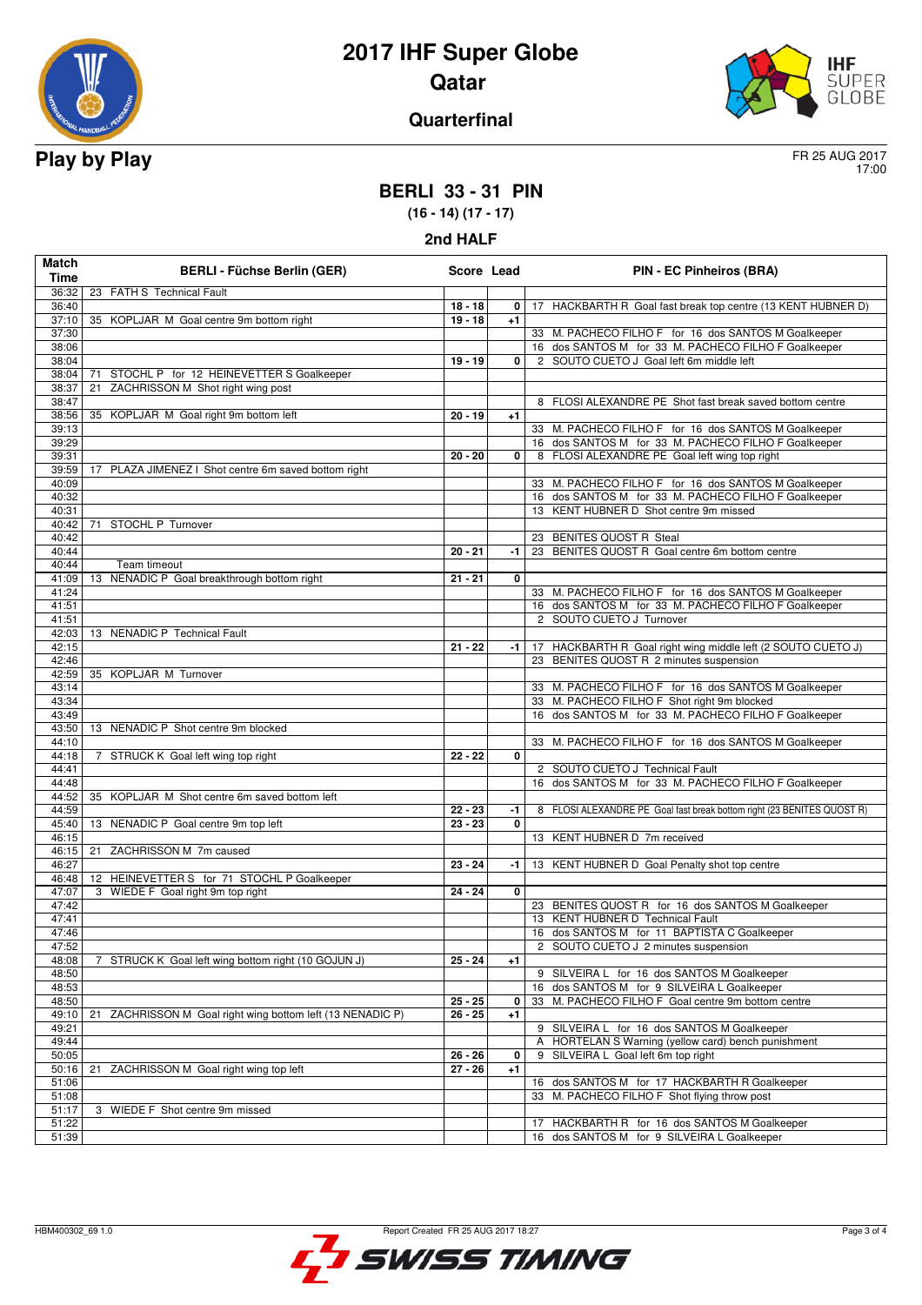



#### **Quarterfinal**

17:00

### **BERLI 33 - 31 PIN**

**(16 - 14) (17 - 17)**

| Match<br><b>Time</b> | <b>BERLI - Füchse Berlin (GER)</b>                            | Score Lead |              | <b>PIN - EC Pinheiros (BRA)</b>                                                                |
|----------------------|---------------------------------------------------------------|------------|--------------|------------------------------------------------------------------------------------------------|
| 36:32                | 23 FÄTH S Technical Fault                                     |            |              |                                                                                                |
| 36:40                |                                                               | $18 - 18$  | 0            | 17 HACKBARTH R Goal fast break top centre (13 KENT HUBNER D)                                   |
| 37:10                | 35 KOPLJAR M Goal centre 9m bottom right                      | $19 - 18$  | $+1$         |                                                                                                |
| 37:30                |                                                               |            |              | 33 M. PACHECO FILHO F for 16 dos SANTOS M Goalkeeper                                           |
| 38:06                |                                                               |            |              | 16 dos SANTOS M for 33 M. PACHECO FILHO F Goalkeeper                                           |
| 38:04                |                                                               | $19 - 19$  | 0            | 2 SOUTO CUETO J Goal left 6m middle left                                                       |
| 38:04                | STOCHL P for 12 HEINEVETTER S Goalkeeper<br>71                |            |              |                                                                                                |
| 38:37                | ZACHRISSON M Shot right wing post<br>21                       |            |              |                                                                                                |
| 38:47                |                                                               |            |              | 8 FLOSI ALEXANDRE PE Shot fast break saved bottom centre                                       |
| 38:56                | 35 KOPLJAR M Goal right 9m bottom left                        | $20 - 19$  | $+1$         |                                                                                                |
| 39:13                |                                                               |            |              | 33 M. PACHECO FILHO F for 16 dos SANTOS M Goalkeeper                                           |
| 39:29                |                                                               |            |              | 16 dos SANTOS M for 33 M. PACHECO FILHO F Goalkeeper                                           |
| 39:31                |                                                               | $20 - 20$  | 0            | 8 FLOSI ALEXANDRE PE Goal left wing top right                                                  |
| 39:59                | 17 PLAZA JIMENEZ I Shot centre 6m saved bottom right          |            |              |                                                                                                |
| 40:09                |                                                               |            |              | 33 M. PACHECO FILHO F for 16 dos SANTOS M Goalkeeper                                           |
| 40:32<br>40:31       |                                                               |            |              | 16 dos SANTOS M for 33 M. PACHECO FILHO F Goalkeeper<br>13 KENT HUBNER D Shot centre 9m missed |
| 40:42                | 71 STOCHL P Turnover                                          |            |              |                                                                                                |
| 40:42                |                                                               |            |              | 23 BENITES QUOST R Steal                                                                       |
| 40:44                |                                                               | $20 - 21$  | -1           | 23 BENITES QUOST R Goal centre 6m bottom centre                                                |
| 40:44                | Team timeout                                                  |            |              |                                                                                                |
| 41:09                | NENADIC P Goal breakthrough bottom right<br>13                | $21 - 21$  | 0            |                                                                                                |
| 41:24                |                                                               |            |              | 33 M. PACHECO FILHO F for 16 dos SANTOS M Goalkeeper                                           |
| 41:51                |                                                               |            |              | 16 dos SANTOS M for 33 M. PACHECO FILHO F Goalkeeper                                           |
| 41:51                |                                                               |            |              | 2 SOUTO CUETO J Turnover                                                                       |
| 42:03                | 13 NENADIC P Technical Fault                                  |            |              |                                                                                                |
| 42:15                |                                                               | $21 - 22$  | -1           | 17 HACKBARTH R Goal right wing middle left (2 SOUTO CUETO J)                                   |
| 42:46                |                                                               |            |              | 23 BENITES QUOST R 2 minutes suspension                                                        |
| 42:59                | 35 KOPLJAR M Turnover                                         |            |              |                                                                                                |
| 43:14                |                                                               |            |              | 33 M. PACHECO FILHO F for 16 dos SANTOS M Goalkeeper                                           |
| 43:34                |                                                               |            |              | 33 M. PACHECO FILHO F Shot right 9m blocked                                                    |
| 43:49                |                                                               |            |              | 16 dos SANTOS M for 33 M. PACHECO FILHO F Goalkeeper                                           |
| 43:50<br>44:10       | 13 NENADIC P Shot centre 9m blocked                           |            |              | 33 M. PACHECO FILHO F for 16 dos SANTOS M Goalkeeper                                           |
| 44:18                | 7 STRUCK K Goal left wing top right                           | $22 - 22$  | 0            |                                                                                                |
| 44:41                |                                                               |            |              | 2 SOUTO CUETO J Technical Fault                                                                |
| 44:48                |                                                               |            |              | 16 dos SANTOS M for 33 M. PACHECO FILHO F Goalkeeper                                           |
| 44:52                | 35 KOPLJAR M Shot centre 6m saved bottom left                 |            |              |                                                                                                |
| 44:59                |                                                               | $22 - 23$  | $-1$         | 8 FLOSI ALEXANDRE PE Goal fast break bottom right (23 BENITES QUOST R)                         |
| 45:40                | 13 NENADIC P Goal centre 9m top left                          | $23 - 23$  | $\mathbf{0}$ |                                                                                                |
| 46:15                |                                                               |            |              | 13 KENT HUBNER D 7m received                                                                   |
| 46:15                | 21 ZACHRISSON M 7m caused                                     |            |              |                                                                                                |
| 46:27                |                                                               | $23 - 24$  | -1 l         | 13 KENT HUBNER D Goal Penalty shot top centre                                                  |
| 46:48                | 12 HEINEVETTER S for 71 STOCHL P Goalkeeper                   |            |              |                                                                                                |
| 47:07                | 3 WIEDE F Goal right 9m top right                             | $24 - 24$  | 0            |                                                                                                |
| 47:42                |                                                               |            |              | 23 BENITES QUOST R for 16 dos SANTOS M Goalkeeper                                              |
| 47:41                |                                                               |            |              | 13 KENT HUBNER D Technical Fault                                                               |
| 47:46                |                                                               |            |              | 16 dos SANTOS M for 11 BAPTISTA C Goalkeeper                                                   |
| 47:52                |                                                               | $25 - 24$  |              | 2 SOUTO CUETO J 2 minutes suspension                                                           |
| 48:08<br>48:50       | 7 STRUCK K Goal left wing bottom right (10 GOJUN J)           |            | $+1$         | 9 SILVEIRA L for 16 dos SANTOS M Goalkeeper                                                    |
| 48:53                |                                                               |            |              | 16 dos SANTOS M for 9 SILVEIRA L Goalkeeper                                                    |
| 48:50                |                                                               | $25 - 25$  | 0            | 33 M. PACHECO FILHO F Goal centre 9m bottom centre                                             |
| 49:10                | ZACHRISSON M Goal right wing bottom left (13 NENADIC P)<br>21 | $26 - 25$  | $+1$         |                                                                                                |
| 49:21                |                                                               |            |              | 9 SILVEIRA L for 16 dos SANTOS M Goalkeeper                                                    |
| 49:44                |                                                               |            |              | A HORTELAN S Warning (yellow card) bench punishment                                            |
| 50:05                |                                                               | $26 - 26$  | 0            | 9 SILVEIRA L Goal left 6m top right                                                            |
| 50:16                | ZACHRISSON M Goal right wing top left<br>21                   | $27 - 26$  | $+1$         |                                                                                                |
| 51:06                |                                                               |            |              | 16 dos SANTOS M for 17 HACKBARTH R Goalkeeper                                                  |
| 51:08                |                                                               |            |              | 33 M. PACHECO FILHO F Shot flying throw post                                                   |
| 51:17                | 3 WIEDE F Shot centre 9m missed                               |            |              |                                                                                                |
| 51:22                |                                                               |            |              | 17 HACKBARTH R for 16 dos SANTOS M Goalkeeper                                                  |
| 51:39                |                                                               |            |              | 16 dos SANTOS M for 9 SILVEIRA L Goalkeeper                                                    |